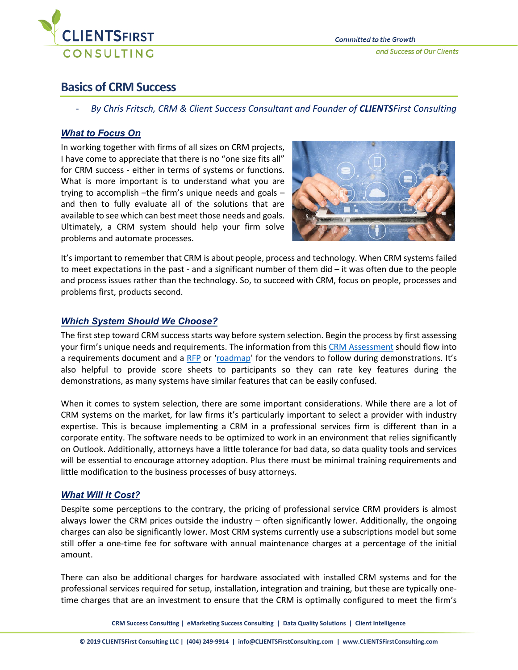

# **Basics of CRM Success**

- *By Chris Fritsch, CRM & Client Success Consultant and Founder of CLIENTSFirst Consulting*

## *What to Focus On*

In working together with firms of all sizes on CRM projects, I have come to appreciate that there is no "one size fits all" for CRM success - either in terms of systems or functions. What is more important is to understand what you are trying to accomplish –the firm's unique needs and goals – and then to fully evaluate all of the solutions that are available to see which can best meet those needs and goals. Ultimately, a CRM system should help your firm solve problems and automate processes.



It's important to remember that CRM is about people, process and technology. When CRM systems failed to meet expectations in the past - and a significant number of them did – it was often due to the people and process issues rather than the technology. So, to succeed with CRM, focus on people, processes and problems first, products second.

# *Which System Should We Choose?*

The first step toward CRM success starts way before system selection. Begin the process by first assessing your firm's unique needs and requirements. The information from this [CRM Assessment](https://clientfirstnew.wpengine.com/services/client-relationship-management/selecting-crm/#Assessment) should flow into a requirements document and a [RFP](https://clientfirstnew.wpengine.com/services/client-relationship-management/selecting-crm/#RFP) or ['roadmap'](https://clientfirstnew.wpengine.com/crm-success-steps-and-strategies-part-4-vet-systems-and-vendors/#roadmap) for the vendors to follow during demonstrations. It's also helpful to provide score sheets to participants so they can rate key features during the demonstrations, as many systems have similar features that can be easily confused.

When it comes to system selection, there are some important considerations. While there are a lot of CRM systems on the market, for law firms it's particularly important to select a provider with industry expertise. This is because implementing a CRM in a professional services firm is different than in a corporate entity. The software needs to be optimized to work in an environment that relies significantly on Outlook. Additionally, attorneys have a little tolerance for bad data, so data quality tools and services will be essential to encourage attorney adoption. Plus there must be minimal training requirements and little modification to the business processes of busy attorneys.

# *What Will It Cost?*

Despite some perceptions to the contrary, the pricing of professional service CRM providers is almost always lower the CRM prices outside the industry – often significantly lower. Additionally, the ongoing charges can also be significantly lower. Most CRM systems currently use a subscriptions model but some still offer a one-time fee for software with annual maintenance charges at a percentage of the initial amount.

There can also be additional charges for hardware associated with installed CRM systems and for the professional services required for setup, installation, integration and training, but these are typically onetime charges that are an investment to ensure that the CRM is optimally configured to meet the firm's

**CRM Success Consulting | eMarketing Success Consulting | Data Quality Solutions | Client Intelligence**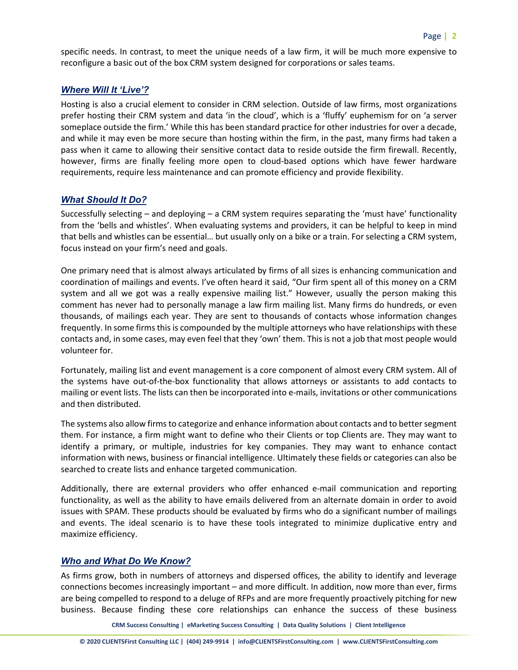specific needs. In contrast, to meet the unique needs of a law firm, it will be much more expensive to reconfigure a basic out of the box CRM system designed for corporations or sales teams.

### *Where Will It 'Live'?*

Hosting is also a crucial element to consider in CRM selection. Outside of law firms, most organizations prefer hosting their CRM system and data 'in the cloud', which is a 'fluffy' euphemism for on 'a server someplace outside the firm.' While this has been standard practice for other industries for over a decade, and while it may even be more secure than hosting within the firm, in the past, many firms had taken a pass when it came to allowing their sensitive contact data to reside outside the firm firewall. Recently, however, firms are finally feeling more open to cloud-based options which have fewer hardware requirements, require less maintenance and can promote efficiency and provide flexibility.

## *What Should It Do?*

Successfully selecting – and deploying – a CRM system requires separating the 'must have' functionality from the 'bells and whistles'. When evaluating systems and providers, it can be helpful to keep in mind that bells and whistles can be essential… but usually only on a bike or a train. For selecting a CRM system, focus instead on your firm's need and goals.

One primary need that is almost always articulated by firms of all sizes is enhancing communication and coordination of mailings and events. I've often heard it said, "Our firm spent all of this money on a CRM system and all we got was a really expensive mailing list." However, usually the person making this comment has never had to personally manage a law firm mailing list. Many firms do hundreds, or even thousands, of mailings each year. They are sent to thousands of contacts whose information changes frequently. In some firms this is compounded by the multiple attorneys who have relationships with these contacts and, in some cases, may even feel that they 'own' them. This is not a job that most people would volunteer for.

Fortunately, mailing list and event management is a core component of almost every CRM system. All of the systems have out-of-the-box functionality that allows attorneys or assistants to add contacts to mailing or event lists. The lists can then be incorporated into e-mails, invitations or other communications and then distributed.

The systems also allow firms to categorize and enhance information about contacts and to better segment them. For instance, a firm might want to define who their Clients or top Clients are. They may want to identify a primary, or multiple, industries for key companies. They may want to enhance contact information with news, business or financial intelligence. Ultimately these fields or categories can also be searched to create lists and enhance targeted communication.

Additionally, there are external providers who offer enhanced e-mail communication and reporting functionality, as well as the ability to have emails delivered from an alternate domain in order to avoid issues with SPAM. These products should be evaluated by firms who do a significant number of mailings and events. The ideal scenario is to have these tools integrated to minimize duplicative entry and maximize efficiency.

### *Who and What Do We Know?*

As firms grow, both in numbers of attorneys and dispersed offices, the ability to identify and leverage connections becomes increasingly important – and more difficult. In addition, now more than ever, firms are being compelled to respond to a deluge of RFPs and are more frequently proactively pitching for new business. Because finding these core relationships can enhance the success of these business

**CRM Success Consulting | eMarketing Success Consulting | Data Quality Solutions | Client Intelligence**